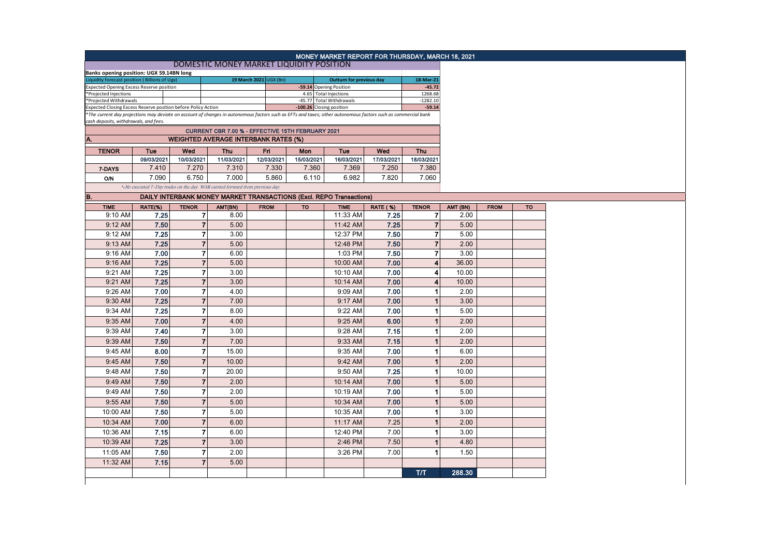|                                                                                                                                                                                                                                                            |                                                   |                                                                               |                        |             |                   | MONEY MARKET REPORT FOR THURSDAY, MARCH 18, 2021                           |            |                         |          |             |  |
|------------------------------------------------------------------------------------------------------------------------------------------------------------------------------------------------------------------------------------------------------------|---------------------------------------------------|-------------------------------------------------------------------------------|------------------------|-------------|-------------------|----------------------------------------------------------------------------|------------|-------------------------|----------|-------------|--|
|                                                                                                                                                                                                                                                            |                                                   |                                                                               |                        |             |                   |                                                                            |            |                         |          |             |  |
| Banks opening position: UGX 59.14BN long                                                                                                                                                                                                                   |                                                   |                                                                               |                        |             |                   |                                                                            |            | 18-Mar-21               |          |             |  |
| Liquidity forecast position (Billions of Ugx)<br><b>Expected Opening Excess Reserve position</b>                                                                                                                                                           |                                                   |                                                                               | 19 March 2021 UGX (Bn) |             |                   | <b>Outturn for previous day</b><br>-59.14 Opening Position                 |            |                         |          |             |  |
| *Projected Injections                                                                                                                                                                                                                                      |                                                   |                                                                               |                        |             |                   | 4.65 Total Injections                                                      |            |                         |          |             |  |
| *Projected Withdrawals                                                                                                                                                                                                                                     |                                                   |                                                                               |                        |             |                   | -45.77 Total Withdrawals                                                   |            | $-1282.10$              |          |             |  |
| Expected Closing Excess Reserve position before Policy Action<br>-100.26 Closing position<br>*The current day projections may deviate on account of changes in autonomous factors such as EFTs and taxes; other autonomous factors such as commercial bank |                                                   |                                                                               |                        |             |                   |                                                                            |            | $-59.14$                |          |             |  |
| cash deposits, withdrawals, and fees.                                                                                                                                                                                                                      |                                                   |                                                                               |                        |             |                   |                                                                            |            |                         |          |             |  |
|                                                                                                                                                                                                                                                            | CURRENT CBR 7.00 % - EFFECTIVE 15TH FEBRUARY 2021 |                                                                               |                        |             |                   |                                                                            |            |                         |          |             |  |
| <b>WEIGHTED AVERAGE INTERBANK RATES (%)</b><br>A.                                                                                                                                                                                                          |                                                   |                                                                               |                        |             |                   |                                                                            |            |                         |          |             |  |
| <b>TENOR</b>                                                                                                                                                                                                                                               | <b>Tue</b>                                        | Wed                                                                           | Thu<br>Fri             |             | <b>Tue</b><br>Mon |                                                                            | Wed        | <b>Thu</b>              |          |             |  |
|                                                                                                                                                                                                                                                            | 09/03/2021                                        | 10/03/2021                                                                    | 11/03/2021             | 12/03/2021  | 15/03/2021        | 16/03/2021                                                                 | 17/03/2021 | 18/03/2021              |          |             |  |
| 7-DAYS                                                                                                                                                                                                                                                     | 7.410                                             | 7.270                                                                         | 7.310                  | 7.330       | 7.360             | 7.369                                                                      | 7.250      | 7.380                   |          |             |  |
| <b>O/N</b>                                                                                                                                                                                                                                                 | 7.090                                             | 6.750                                                                         | 7.000                  | 5.860       | 6.110             | 6.982                                                                      | 7.820      | 7.060                   |          |             |  |
|                                                                                                                                                                                                                                                            |                                                   | *-No executed 7-Day trades on the day. WAR carried forward from previous day. |                        |             |                   |                                                                            |            |                         |          |             |  |
| B.                                                                                                                                                                                                                                                         |                                                   |                                                                               |                        |             |                   | <b>DAILY INTERBANK MONEY MARKET TRANSACTIONS (Excl. REPO Transactions)</b> |            |                         |          |             |  |
| <b>TIME</b>                                                                                                                                                                                                                                                | RATE(%)                                           | <b>TENOR</b>                                                                  | AMT(BN)                | <b>FROM</b> | TO                | <b>TIME</b>                                                                | RATE (%)   | <b>TENOR</b>            | AMT (BN) | <b>FROM</b> |  |
| 9:10 AM                                                                                                                                                                                                                                                    | 7.25                                              | 7                                                                             | 8.00                   |             |                   | 11:33 AM                                                                   | 7.25       | $\overline{7}$          | 2.00     |             |  |
| 9:12 AM                                                                                                                                                                                                                                                    | 7.50                                              | $\overline{7}$                                                                | 5.00                   |             |                   | 11:42 AM                                                                   | 7.25       | $\overline{7}$          | 5.00     |             |  |
| 9:12 AM                                                                                                                                                                                                                                                    | 7.25                                              | $\overline{7}$                                                                | 3.00                   |             |                   | 12:37 PM                                                                   | 7.50       | $\overline{7}$          | 5.00     |             |  |
| 9:13 AM                                                                                                                                                                                                                                                    | 7.25                                              | $\overline{7}$                                                                | 5.00                   |             |                   | 12:48 PM                                                                   | 7.50       | $\overline{7}$          | 2.00     |             |  |
| 9:16 AM                                                                                                                                                                                                                                                    | 7.00                                              | 7                                                                             | 6.00                   |             |                   | 1:03 PM                                                                    | 7.50       | $\overline{7}$          | 3.00     |             |  |
| 9:16 AM                                                                                                                                                                                                                                                    | 7.25                                              | $\overline{7}$                                                                | 5.00                   |             |                   | 10:00 AM                                                                   | 7.00       | $\overline{\mathbf{4}}$ | 36.00    |             |  |
| 9:21 AM                                                                                                                                                                                                                                                    | 7.25                                              | $\overline{7}$                                                                | 3.00                   |             |                   | 10:10 AM                                                                   | 7.00       | 4                       | 10.00    |             |  |
| 9:21 AM                                                                                                                                                                                                                                                    | 7.25                                              | $\overline{7}$                                                                | 3.00                   |             |                   | 10:14 AM                                                                   | 7.00       | $\overline{\mathbf{4}}$ | 10.00    |             |  |
| 9:26 AM                                                                                                                                                                                                                                                    | 7.00                                              | $\overline{7}$                                                                | 4.00                   |             |                   | 9:09 AM                                                                    | 7.00       | 1                       | 2.00     |             |  |
| 9:30 AM                                                                                                                                                                                                                                                    | 7.25                                              | $\overline{\mathbf{r}}$                                                       | 7.00                   |             |                   | 9:17 AM                                                                    | 7.00       | $\overline{1}$          | 3.00     |             |  |
| 9:34 AM                                                                                                                                                                                                                                                    | 7.25                                              | $\overline{7}$                                                                | 8.00                   |             |                   | 9:22 AM                                                                    | 7.00       | $\mathbf{1}$            | 5.00     |             |  |
| 9:35 AM                                                                                                                                                                                                                                                    | 7.00                                              | $\overline{7}$                                                                | 4.00                   |             |                   | 9:25 AM                                                                    | 6.00       | $\overline{1}$          | 2.00     |             |  |
| 9:39 AM                                                                                                                                                                                                                                                    | 7.40                                              | 7                                                                             | 3.00                   |             |                   | 9:28 AM                                                                    | 7.15       | 1                       | 2.00     |             |  |
| 9:39 AM                                                                                                                                                                                                                                                    | 7.50                                              | $\overline{7}$                                                                | 7.00                   |             |                   | 9:33 AM                                                                    | 7.15       | $\overline{1}$          | 2.00     |             |  |
| 9:45 AM                                                                                                                                                                                                                                                    | 8.00                                              | $\overline{7}$                                                                | 15.00                  |             |                   | 9:35 AM                                                                    | 7.00       | 1                       | 6.00     |             |  |
| 9:45 AM                                                                                                                                                                                                                                                    | 7.50                                              | $\overline{7}$                                                                | 10.00                  |             |                   | 9:42 AM                                                                    | 7.00       | $\mathbf{1}$            | 2.00     |             |  |
| 9:48 AM                                                                                                                                                                                                                                                    | 7.50                                              | $\overline{7}$                                                                | 20.00                  |             |                   | 9:50 AM                                                                    | 7.25       | 1                       | 10.00    |             |  |
| 9:49 AM                                                                                                                                                                                                                                                    | 7.50                                              | $\overline{7}$                                                                | 2.00                   |             |                   | 10:14 AM                                                                   | 7.00       | $\mathbf{1}$            | 5.00     |             |  |
| 9:49 AM                                                                                                                                                                                                                                                    | 7.50                                              | $\overline{7}$                                                                | 2.00                   |             |                   | 10:19 AM                                                                   | 7.00       | 1                       | 5.00     |             |  |
| 9:55 AM                                                                                                                                                                                                                                                    | 7.50                                              | $\overline{7}$                                                                | 5.00                   |             |                   | 10:34 AM                                                                   | 7.00       | $\overline{1}$          | 5.00     |             |  |
| 10:00 AM                                                                                                                                                                                                                                                   | 7.50                                              | 7                                                                             | 5.00                   |             |                   | 10:35 AM                                                                   | 7.00       | $\mathbf{1}$            | 3.00     |             |  |
| 10:34 AM                                                                                                                                                                                                                                                   | 7.00                                              | $\overline{7}$                                                                | 6.00                   |             |                   | 11:17 AM                                                                   | 7.25       | $\overline{1}$          | 2.00     |             |  |
| 10:36 AM                                                                                                                                                                                                                                                   | 7.15                                              | $\overline{7}$                                                                | 6.00                   |             |                   | 12:40 PM                                                                   | 7.00       | 1                       | 3.00     |             |  |
| 10:39 AM                                                                                                                                                                                                                                                   | 7.25                                              | $\overline{7}$                                                                | 3.00                   |             |                   | 2:46 PM                                                                    | 7.50       | $\mathbf{1}$            | 4.80     |             |  |
| 11:05 AM                                                                                                                                                                                                                                                   | 7.50                                              | 7                                                                             | 2.00                   |             |                   | 3:26 PM                                                                    | 7.00       | 1                       | 1.50     |             |  |
| 11:32 AM                                                                                                                                                                                                                                                   | 7.15                                              | $\overline{7}$                                                                | 5.00                   |             |                   |                                                                            |            |                         |          |             |  |
|                                                                                                                                                                                                                                                            |                                                   |                                                                               |                        |             |                   |                                                                            |            | T/T                     | 288.30   |             |  |
|                                                                                                                                                                                                                                                            |                                                   |                                                                               |                        |             |                   |                                                                            |            |                         |          |             |  |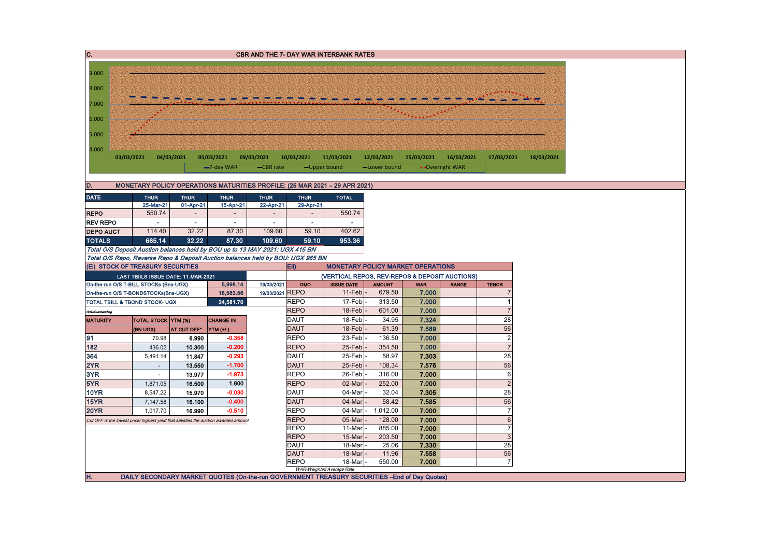| C.                                          |                                                                                                                                                        |                                        |                                     |                                                                                       | <b>CBR AND THE 7- DAY WAR INTERBANK RATES</b> |                                   |                           |                                                                                              |                |                 |                      |  |  |  |
|---------------------------------------------|--------------------------------------------------------------------------------------------------------------------------------------------------------|----------------------------------------|-------------------------------------|---------------------------------------------------------------------------------------|-----------------------------------------------|-----------------------------------|---------------------------|----------------------------------------------------------------------------------------------|----------------|-----------------|----------------------|--|--|--|
|                                             |                                                                                                                                                        |                                        |                                     |                                                                                       |                                               |                                   |                           |                                                                                              |                |                 |                      |  |  |  |
| 9.000                                       |                                                                                                                                                        |                                        |                                     |                                                                                       |                                               |                                   |                           |                                                                                              |                |                 |                      |  |  |  |
| 8.000                                       |                                                                                                                                                        |                                        |                                     |                                                                                       |                                               |                                   |                           |                                                                                              |                |                 |                      |  |  |  |
| 7.000                                       |                                                                                                                                                        |                                        |                                     |                                                                                       |                                               |                                   |                           |                                                                                              |                |                 |                      |  |  |  |
| 6.000                                       |                                                                                                                                                        |                                        |                                     |                                                                                       |                                               |                                   |                           |                                                                                              |                |                 |                      |  |  |  |
|                                             | 5.000                                                                                                                                                  |                                        |                                     |                                                                                       |                                               |                                   |                           |                                                                                              |                |                 |                      |  |  |  |
|                                             |                                                                                                                                                        |                                        |                                     |                                                                                       |                                               |                                   |                           |                                                                                              |                |                 |                      |  |  |  |
| 4.000                                       | 03/03/2021<br>04/03/2021<br>05/03/2021<br>09/03/2021<br>10/03/2021<br>11/03/2021<br>12/03/2021<br>15/03/2021<br>16/03/2021<br>17/03/2021<br>18/03/2021 |                                        |                                     |                                                                                       |                                               |                                   |                           |                                                                                              |                |                 |                      |  |  |  |
|                                             |                                                                                                                                                        |                                        |                                     | $-7$ -day WAR                                                                         | -CBR rate                                     |                                   | -Upper bound              | -Lower bound                                                                                 |                | • Overnight WAR |                      |  |  |  |
|                                             |                                                                                                                                                        |                                        |                                     |                                                                                       |                                               |                                   |                           |                                                                                              |                |                 |                      |  |  |  |
| D.                                          |                                                                                                                                                        |                                        |                                     | MONETARY POLICY OPERATIONS MATURITIES PROFILE: (25 MAR 2021 - 29 APR 2021)            |                                               |                                   |                           |                                                                                              |                |                 |                      |  |  |  |
| <b>DATE</b>                                 |                                                                                                                                                        | <b>THUR</b>                            | <b>THUR</b>                         | <b>THUR</b>                                                                           | <b>THUR</b>                                   | <b>THUR</b>                       | <b>TOTAL</b>              |                                                                                              |                |                 |                      |  |  |  |
|                                             |                                                                                                                                                        | 25-Mar-21                              | 01-Apr-21                           | 15-Apr-21                                                                             | 22-Apr-21                                     | 29-Apr-21                         |                           |                                                                                              |                |                 |                      |  |  |  |
| <b>REPO</b>                                 |                                                                                                                                                        | 550.74                                 | $\sim$                              | $\overline{\phantom{a}}$                                                              | $\sim$                                        | $\sim$                            | 550.74                    |                                                                                              |                |                 |                      |  |  |  |
| <b>REV REPO</b><br><b>DEPO AUCT</b>         |                                                                                                                                                        | $\overline{\phantom{a}}$<br>114.40     | $\sim$<br>32.22                     | $\sim$<br>87.30                                                                       | $\sim$<br>109.60                              | $\overline{\phantom{a}}$<br>59.10 | $\sim$<br>402.62          |                                                                                              |                |                 |                      |  |  |  |
| <b>TOTALS</b>                               |                                                                                                                                                        | 665.14                                 | 32.22                               | 87.30                                                                                 | 109.60                                        | 59.10                             | 953.36                    |                                                                                              |                |                 |                      |  |  |  |
|                                             |                                                                                                                                                        |                                        |                                     | Total O/S Deposit Auction balances held by BOU up to 13 MAY 2021: UGX 415 BN          |                                               |                                   |                           |                                                                                              |                |                 |                      |  |  |  |
|                                             |                                                                                                                                                        |                                        |                                     | Total O/S Repo, Reverse Repo & Deposit Auction balances held by BOU: UGX 965 BN       |                                               |                                   |                           |                                                                                              |                |                 |                      |  |  |  |
|                                             |                                                                                                                                                        | (Ei) STOCK OF TREASURY SECURITIES      |                                     |                                                                                       |                                               | Eii)                              |                           | <b>MONETARY POLICY MARKET OPERATIONS</b>                                                     |                |                 |                      |  |  |  |
|                                             |                                                                                                                                                        |                                        | LAST TBIILS ISSUE DATE: 11-MAR-2021 |                                                                                       |                                               |                                   |                           | (VERTICAL REPOS, REV-REPOS & DEPOSIT AUCTIONS)                                               |                |                 |                      |  |  |  |
|                                             |                                                                                                                                                        | On-the-run O/S T-BILL STOCKs (Bns-UGX) |                                     | 5,998.14                                                                              | 19/03/2021                                    | OMO                               | <b>ISSUE DATE</b>         | <b>AMOUNT</b>                                                                                | <b>WAR</b>     | <b>RANGE</b>    | <b>TENOR</b>         |  |  |  |
|                                             |                                                                                                                                                        | On-the-run O/S T-BONDSTOCKs(Bns-UGX)   |                                     | 18,583.56                                                                             | 19/03/2021 REPO                               |                                   | $11-Feb$                  | 679.50                                                                                       | 7.000          |                 | $\overline{7}$       |  |  |  |
| 24,581.70<br>TOTAL TBILL & TBOND STOCK- UGX |                                                                                                                                                        |                                        |                                     |                                                                                       |                                               | <b>REPO</b>                       | 17-Feb                    | 313.50                                                                                       | 7.000          |                 | $\overline{1}$       |  |  |  |
| O/S=Outstanding                             |                                                                                                                                                        |                                        |                                     |                                                                                       |                                               | <b>REPO</b>                       | $18$ -Feb                 | 601.00                                                                                       | 7.000          |                 | $\overline{7}$       |  |  |  |
| <b>MATURITY</b>                             |                                                                                                                                                        | TOTAL STOCK YTM (%)                    |                                     | <b>CHANGE IN</b>                                                                      |                                               | <b>DAUT</b>                       | 18-Feb                    | 34.95                                                                                        | 7.324          |                 | 28                   |  |  |  |
| 91                                          |                                                                                                                                                        | (BN UGX)                               | AT CUT OFF*                         | YTM (+/-)<br>$-0.358$                                                                 |                                               | <b>DAUT</b><br><b>REPO</b>        | 18-Feb                    | 61.39                                                                                        | 7.589          |                 | 56<br>$\overline{2}$ |  |  |  |
| 182                                         |                                                                                                                                                        | 70.98                                  | 6.990                               | $-0.200$                                                                              |                                               | <b>REPO</b>                       | 23-Feb<br>25-Feb          | 136.50                                                                                       | 7.000          |                 | $\overline{7}$       |  |  |  |
| 364                                         |                                                                                                                                                        | 436.02<br>5,491.14                     | 10.300<br>11.847                    | $-0.293$                                                                              |                                               | <b>DAUT</b>                       | 25-Feb                    | 354.50<br>58.97                                                                              | 7.000<br>7.303 |                 | 28                   |  |  |  |
| 2YR                                         |                                                                                                                                                        | $\sim$                                 | 13.550                              | $-1.700$                                                                              |                                               | <b>DAUT</b>                       | 25-Feb                    | 108.34                                                                                       | 7.576          |                 | 56                   |  |  |  |
| 3YR                                         |                                                                                                                                                        | $\sim$                                 | 13.977                              | $-1.973$                                                                              |                                               | <b>REPO</b>                       | 26-Feb                    | 316.00                                                                                       | 7.000          |                 | 6                    |  |  |  |
| 5YR                                         |                                                                                                                                                        | 1,871.05                               | 16.500                              | 1.600                                                                                 |                                               | <b>REPO</b>                       | 02-Mar                    | 252.00                                                                                       | 7.000          |                 | $\overline{2}$       |  |  |  |
| <b>10YR</b>                                 |                                                                                                                                                        | 8,547.22                               | 15.970                              | $-0.030$                                                                              |                                               | <b>DAUT</b>                       | 04-Mar                    | 32.04                                                                                        | 7.305          |                 | 28                   |  |  |  |
| <b>15YR</b>                                 |                                                                                                                                                        | 7,147.58                               | 16.100                              | $-0.400$                                                                              |                                               | <b>DAUT</b>                       | 04-Mar                    | 58.42                                                                                        | 7.585          |                 | 56                   |  |  |  |
| <b>20YR</b>                                 |                                                                                                                                                        | 1,017.70                               | 16.990                              | $-0.510$                                                                              |                                               | <b>REPO</b>                       | 04-Mar                    | 1,012.00                                                                                     | 7.000          |                 | $\overline{7}$       |  |  |  |
|                                             |                                                                                                                                                        |                                        |                                     | Cut OFF is the lowest price/ highest yield that satisfies the auction awarded amount. |                                               | <b>REPO</b>                       | 05-Mar                    | 128.00                                                                                       | 7.000          |                 | $6\phantom{1}$       |  |  |  |
|                                             |                                                                                                                                                        |                                        |                                     |                                                                                       |                                               | <b>REPO</b>                       | 11-Mar                    | 885.00                                                                                       | 7.000          |                 | $\overline{7}$       |  |  |  |
|                                             |                                                                                                                                                        |                                        |                                     |                                                                                       |                                               | <b>REPO</b>                       | 15-Mar                    | 203.50                                                                                       | 7.000          |                 | 3                    |  |  |  |
|                                             |                                                                                                                                                        |                                        |                                     |                                                                                       |                                               | <b>DAUT</b>                       | 18-Mar                    | 25.06                                                                                        | 7.330          |                 | 28                   |  |  |  |
|                                             |                                                                                                                                                        |                                        |                                     |                                                                                       |                                               | <b>DAUT</b><br><b>REPO</b>        | 18-Mar<br>18-Mar          | 11.96<br>550.00                                                                              | 7.558<br>7.000 |                 | 56<br>$\overline{7}$ |  |  |  |
|                                             |                                                                                                                                                        |                                        |                                     |                                                                                       |                                               |                                   | WAR-Weighted Average Rate |                                                                                              |                |                 |                      |  |  |  |
| Н.                                          |                                                                                                                                                        |                                        |                                     |                                                                                       |                                               |                                   |                           | DAILY SECONDARY MARKET QUOTES (On-the-run GOVERNMENT TREASURY SECURITIES -End of Day Quotes) |                |                 |                      |  |  |  |